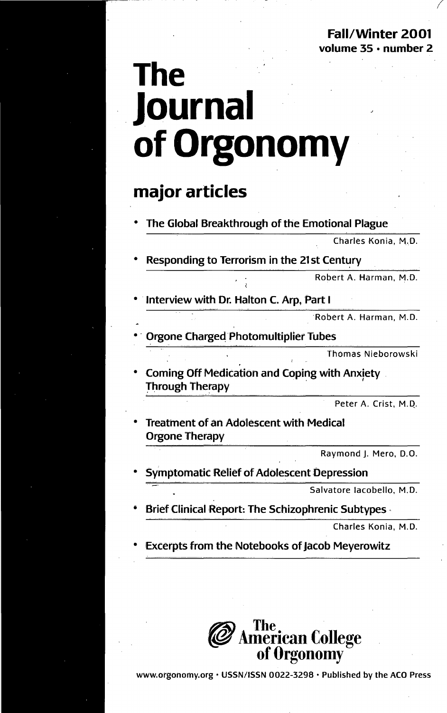Fall/Winter 2001 volume 35 • number 2

# **The Journal ofOrgonomy**

### **major articles**

• The Global Breakthrough of the Emotional Plague

Charles Konia, M.D.

Responding to Terrorism in the 21st Century

Robert A. Harman, M.D.

Interview with Dr. Halton C. Arp, Part I

Robert A. Harman, M.D.

Orgone Charged Photomultiplier Tubes

Thomas Nieborowski

Coming Off Medication and Coping with Anxiety Through Therapy

Peter A. Crist, M.Q.

**Treatment of an Adolescent with Medical Orgone Therapy** 

Raymond J. Mero, D.O.

Symptomatic Relief of Adolescent Depression

Salvatore lacobello, M.D.

**Brief Clinical Report: The Schizophrenic Subtypes** 

Charles Konia, M.D.

Excerpts from the Notebooks of Jacob Meyerowitz



www.orgonomy.org • USSN/ISSN 0022-3298 • Published by the ACO Press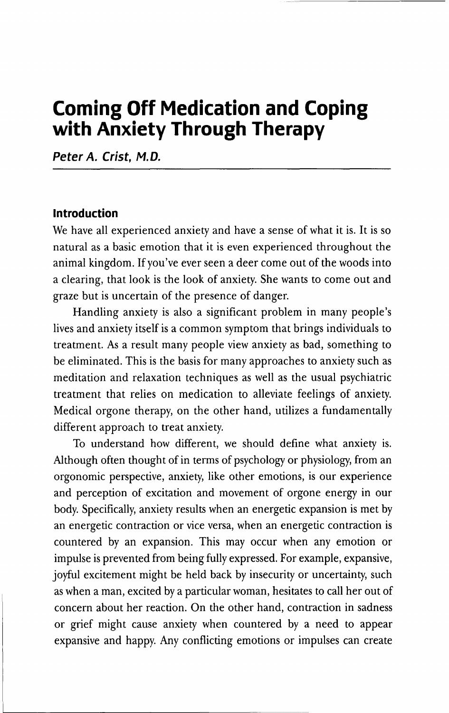## **Coming Off Medication and Coping with Anxiety Through Therapy**

**Peter A. Crist, M. D.**

#### **Introduction**

We have all experienced anxiety and have a sense of what it is. It is so natural as a basic emotion that it is even experienced throughout the animal kingdom. If you've ever seen a deer come out of the woods into a clearing, that look is the look of anxiety. She wants to come out and graze but is uncertain of the presence of danger.

Handling anxiety is also a significant problem in many people's lives and anxiety itself is a common symptom that brings individuals to treatment. As a result many people view anxiety as bad, something to be eliminated. This is the basis for many approaches to anxiety such as meditation and relaxation techniques as well as the usual psychiatric treatment that relies on medication to alleviate feelings of anxiety. Medical orgone therapy, on the other hand, utilizes a fundamentally different approach to treat anxiety.

To understand how different, we should define what anxiety is. Although often thought of in terms of psychology or physiology, from an orgonomic perspective, anxiety, like other emotions, is our experience and perception of excitation and movement of orgone energy in our body. Specifically, anxiety results when an energetic expansion is met by an energetic contraction or vice versa, when an energetic contraction is countered by an expansion. This may occur when any emotion or impulse is prevented from being fully expressed. For example, expansive, joyful excitement might be held back by insecurity or uncertainty, such as when a man, excited by a particular woman, hesitates to call her out of concern about her reaction. On the other hand, contraction in sadness or grief might cause anxiety when countered by a need to appear expansive and happy. Any conflicting emotions or impulses can create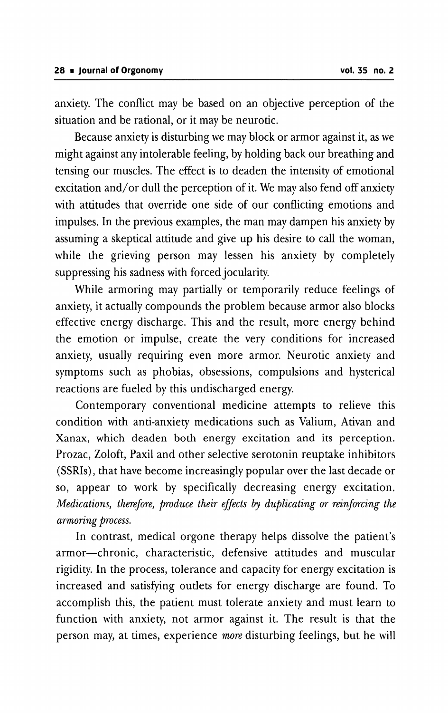anxiety. The conflict may be based on an objective perception of the situation and be rational, or it may be neurotic.

Because anxiety is disturbing we may block or armor against it, as we might against any intolerable feeling, by holding back our breathing and tensing our muscles. The effect is to deaden the intensity of emotional excitation and/or dull the perception of it. We may also fend off anxiety with attitudes that override one side of our conflicting emotions and impulses. In the previous examples, the man may dampen his anxiety by assuming a skeptical attitude and give up his desire to call the woman, while the grieving person may lessen his anxiety by completely suppressing his sadness with forced jocularity.

While armoring may partially or temporarily reduce feelings of anxiety, it actually compounds the problem because armor also blocks effective energy discharge. This and the result, more energy behind the emotion or impulse, create the very conditions for increased anxiety, usually requiring even more armor. Neurotic anxiety and symptoms such as phobias, obsessions, compulsions and hysterical reactions are fueled by this undischarged energy.

Contemporary conventional medicine attempts to relieve this condition with anti-anxiety medications such as Valium, Ativan and Xanax, which deaden both energy excitation and its perception. Prozac, Zoloft, Paxil and other selective serotonin reuptake inhibitors (SSRIs), that have become increasingly popular over the last decade or so, appear to work by specifically decreasing energy excitation. *Medications, therefore, produce their effects* by *duplicating or reinforcing the armoring process.*

In contrast, medical orgone therapy helps dissolve the patient's armor-chronic, characteristic, defensive attitudes and muscular rigidity. In the process, tolerance and capacity for energy excitation is increased and satisfying outlets for energy discharge are found. To accomplish this, the patient must tolerate anxiety and must learn to function with anxiety, not armor against it. The result is that the person may, at times, experience *more* disturbing feelings, but he will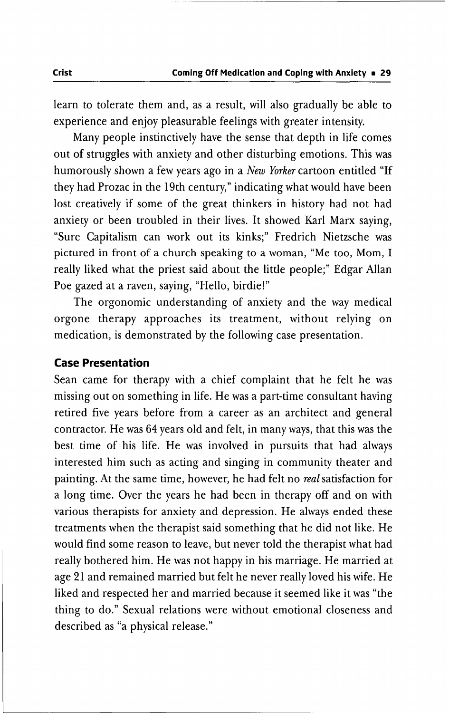learn to tolerate them and, as a result, will also gradually be able to experience and enjoy pleasurable feelings with greater intensity.

Many people instinctively have the sense that depth in life comes out of struggles with anxiety and other disturbing emotions. This was humorously shown a few years ago in a *New Yorker* cartoon entitled "If they had Prozac in the 19th century," indicating what would have been lost creatively if some of the great thinkers in history had not had anxiety or been troubled in their lives. **It** showed Karl Marx saying, "Sure Capitalism can work out its kinks;" Fredrich Nietzsche was pictured in front of a church speaking to a woman, "Me too, Mom, I really liked what the priest said about the little people;" Edgar Allan Poe gazed at a raven, saying, "Hello, birdie!"

The orgonomic understanding of anxiety and the way medical orgone therapy approaches its treatment, without relying on medication, is demonstrated by the following case presentation.

#### **Case Presentation**

Sean came for therapy with a chief complaint that he felt he was missing out on something in life. He was a part-time consultant having retired five years before from a career as an architect and general contractor. He was 64 years old and felt, in many ways, that this was the best time of his life. He was involved in pursuits that had always interested him such as acting and singing in community theater and painting. At the same time, however, he had felt no *real*satisfaction for a long time. Over the years he had been in therapy off and on with various therapists for anxiety and depression. He always ended these treatments when the therapist said something that he did not like. He would find some reason to leave, but never told the therapist what had really bothered him. He was not happy in his marriage. He married at age 21 and remained married but felt he never really loved his wife. He liked and respected her and married because it seemed like it was "the thing to do." Sexual relations were without emotional closeness and described as "a physical release."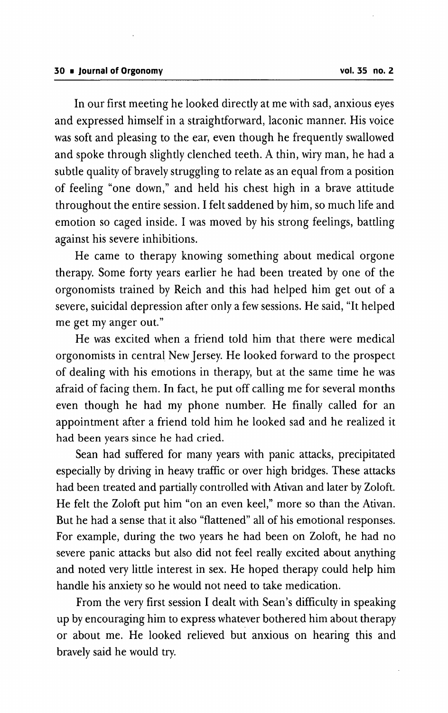In our first meeting he looked directly at me with sad, anxious eyes and expressed himself in a straightforward, laconic manner. His voice was soft and pleasing to the ear, even though he frequently swallowed and spoke through slightly clenched teeth. A thin, wiry man, he had a subtle quality of bravely struggling to relate as an equal from a position of feeling "one down," and held his chest high in a brave attitude throughout the entire session. I felt saddened by him, so much life and emotion so caged inside. I was moved by his strong feelings, battling against his severe inhibitions.

He came to therapy knowing something about medical orgone therapy. Some forty years earlier he had been treated by one of the orgonomists trained by Reich and this had helped him get out of a severe, suicidal depression after only a few sessions. He said, "It helped me get my anger out."

He was excited when a friend told him that there were medical orgonomists in central NewJersey. He looked forward to the prospect of dealing with his emotions in therapy, but at the same time he was afraid of facing them. In fact, he put off calling me for several months even though he had my phone number. He finally called for an appointment after a friend told him he looked sad and he realized it had been years since he had cried.

Sean had suffered for many years with panic attacks, precipitated especially by driving in heavy traffic or over high bridges. These attacks had been treated and partially controlled with Ativan and later by Zoloft. He felt the Zoloft put him "on an even keel," more so than the Ativan. But he had a sense that it also "flattened" all of his emotional responses. For example, during the two years he had been on Zoloft, he had no severe panic attacks but also did not feel really excited about anything and noted very little interest in sex. He hoped therapy could help him handle his anxiety so he would not need to take medication.

From the very first session I dealt with Sean's difficulty in speaking up by encouraging him to express whatever bothered him about therapy or about me. He looked relieved but anxious on hearing this and bravely said he would try.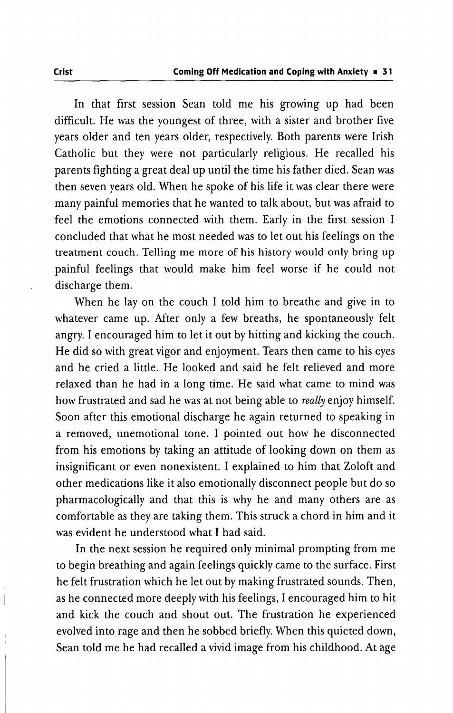In that first session Sean told me his growing up had been difficult. He was the youngest of three, with a sister and brother five years older and ten years older, respectively. Both parents were Irish Catholic but they were not particularly religious. He recalled his parents fighting a great deal up until the time his father died. Sean was then seven years old. When he spoke of his life it was clear there were many painful memories that he wanted to talk about, but was afraid to feel the emotions connected with them. Early in the first session I concluded that what he most needed was to let out his feelings on the treatment couch. Telling me more of his history would only bring up painful feelings that would make him feel worse if he could not discharge them.

When he lay on the couch I told him to breathe and give in to whatever came up. After only a few breaths, he spontaneously felt angry. I encouraged him to let it out by hitting and kicking the couch. He did so with great vigor and enjoyment. Tears then came to his eyes and he cried a little. He looked and said he felt relieved and more relaxed than he had in a long time. He said what came to mind was how frustrated and sad he was at not being able to *really* enjoy himself. Soon after this emotional discharge he again returned to speaking in a removed, unemotional tone. I pointed out how he disconnected from his emotions by taking an attitude of looking down on them as insignificant or even nonexistent. I explained to him that Zoloft and other medications like it also emotionally disconnect people but do so pharmacologically and that this is why he and many others are as comfortable as they are taking them. This struck a chord in him and it was evident he understood what I had said.

In the next session he required only minimal prompting from me to begin breathing and again feelings quickly came to the surface. First he felt frustration which he let out by making frustrated sounds. Then, as he connected more deeply with his feelings, I encouraged him to hit and kick the couch and shout out. The frustration he experienced evolved into rage and then he sobbed briefly. When this quieted down, Sean told me he had recalled a vivid image from his childhood. At age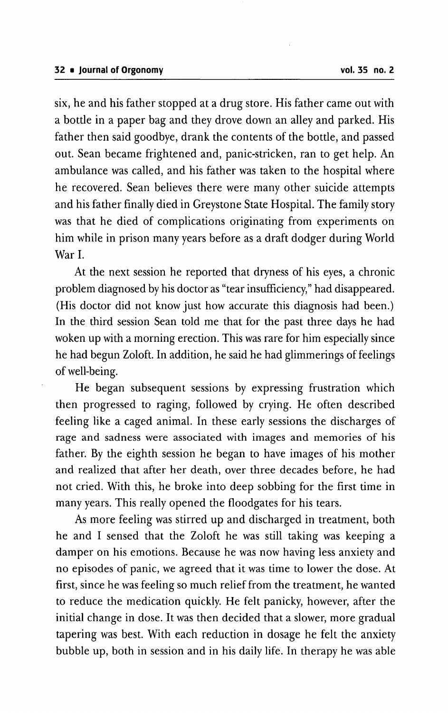six, he and his father stopped at a drug store. His father came out with a bottle in a paper bag and they drove down an alley and parked. His father then said goodbye, drank the contents of the bottle, and passed out. Sean became frightened and, panic-stricken, ran to get help. An ambulance was called, and his father was taken to the hospital where he recovered. Sean believes there were many other suicide attempts and his father finally died in Greystone State Hospital. The family story was that he died of complications originating from experiments on him while in prison many years before as a draft dodger during World War I.

At the next session he reported that dryness of his eyes, a chronic problem diagnosed by his doctor as "tear insufficiency,"had disappeared. (His doctor did not know just how accurate this diagnosis had been.) In the third session Sean told me that for the past three days he had woken up with a morning erection. This was rare for him especially since he had begun Zoloft. In addition, he said he had glimmerings of feelings of well-being.

He began subsequent sessions by expressing frustration which then progressed to raging, followed by crying. He often described feeling like a caged animal. In these early sessions the discharges of rage and sadness were associated with images and memories of his father. By the eighth session he began to have images of his mother and realized that after her death, over three decades before, he had not cried. With this, he broke into deep sobbing for the first time in many years. This really opened the floodgates for his tears.

As more feeling was stirred up and discharged in treatment, both he and I sensed that the Zoloft he was still taking was keeping a damper on his emotions. Because he was now having less anxiety and no episodes of panic, we agreed that it was time to lower the dose. At first, since he was feeling so much relief from the treatment, he wanted to reduce the medication quickly. He felt panicky, however, after the initial change in dose. It was then decided that a slower, more gradual tapering was best. With each reduction in dosage he felt the anxiety bubble up, both in session and in his daily life. In therapy he was able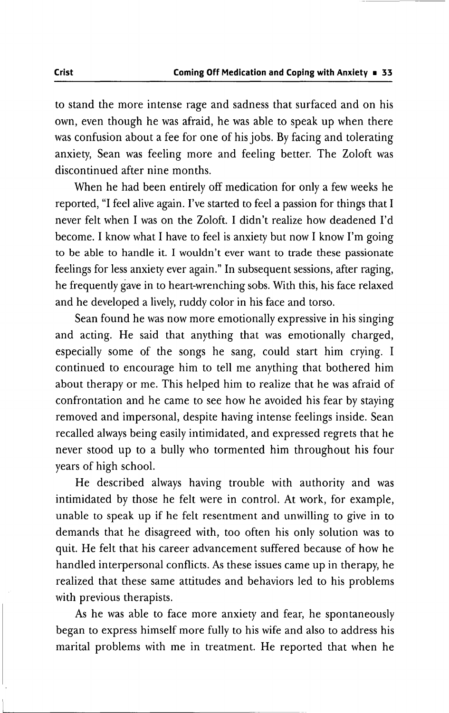to stand the more intense rage and sadness that surfaced and on his own, even though he was afraid, he was able to speak up when there was confusion about a fee for one of his jobs. By facing and tolerating anxiety, Sean was feeling more and feeling better. The Zoloft was discontinued after nine months.

When he had been entirely off medication for only a few weeks he reported, "I feel alive again. I've started to feel a passion for things that I never felt when I was on the Zoloft. I didn't realize how deadened I'd become. I know what I have to feel is anxiety but now I know I'm going to be able to handle it. I wouldn't ever want to trade these passionate feelings for less anxiety ever again." In subsequent sessions, after raging, he frequently gave in to heart-wrenching sobs. With this, his face relaxed and he developed a lively, ruddy color in his face and torso.

Sean found he was now more emotionally expressive in his singing and acting. He said that anything that was emotionally charged, especially some of the songs he sang, could start him crying. I continued to encourage him to tell me anything that bothered him about therapy or me. This helped him to realize that he was afraid of confrontation and he came to see how he avoided his fear by staying removed and impersonal, despite having intense feelings inside. Sean recalled always being easily intimidated, and expressed regrets that he never stood up to a bully who tormented him throughout his four years of high school.

He described always having trouble with authority and was intimidated by those he felt were in control. At work, for example, unable to speak up if he felt resentment and unwilling to give in to demands that he disagreed with, too often his only solution was to quit. He felt that his career advancement suffered because of how he handled interpersonal conflicts. As these issues came up in therapy, he realized that these same attitudes and behaviors led to his problems with previous therapists.

As he was able to face more anxiety and fear, he spontaneously began to express himself more fully to his wife and also to address his marital problems with me in treatment. He reported that when he